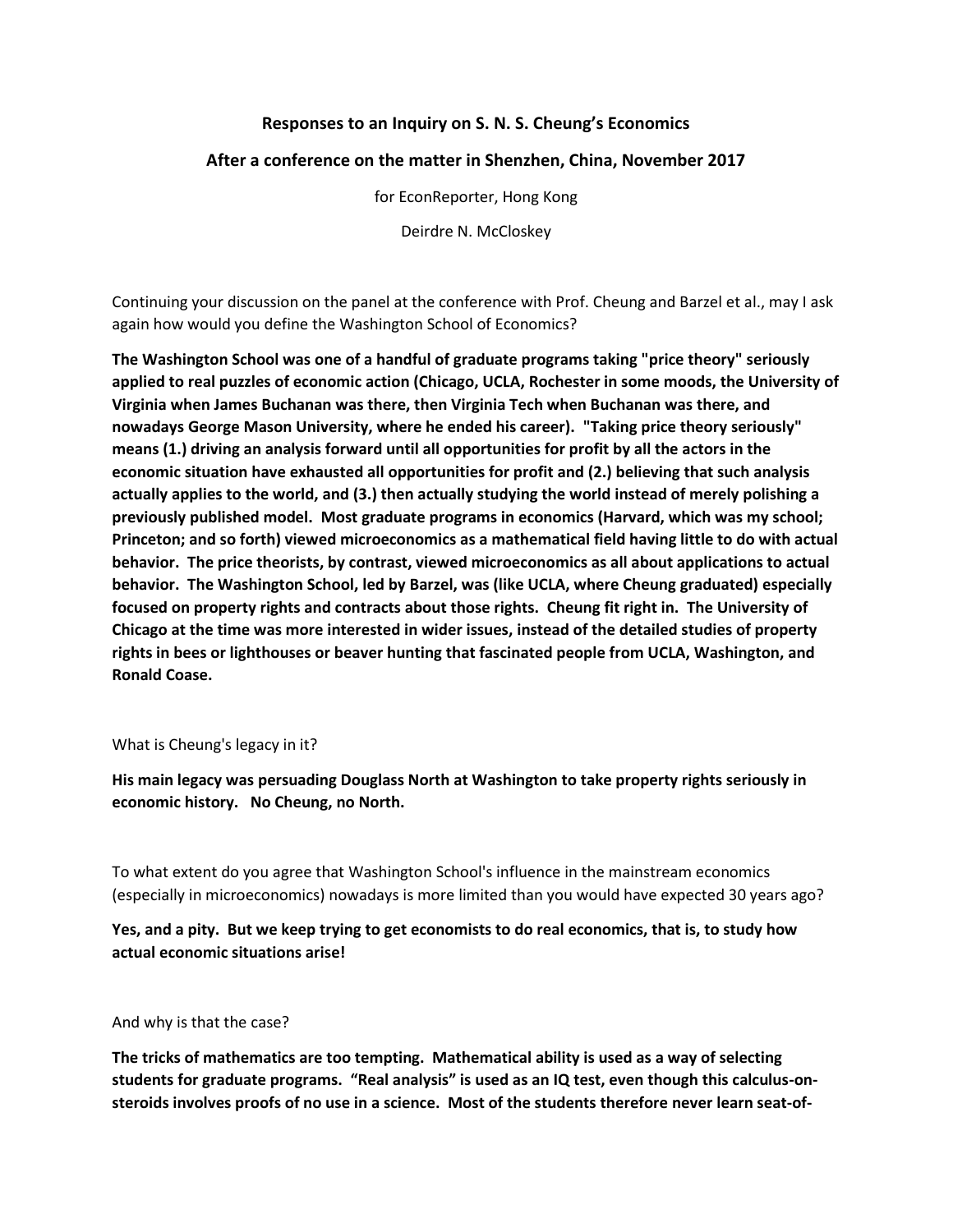## **Responses to an Inquiry on S. N. S. Cheung's Economics**

### **After a conference on the matter in Shenzhen, China, November 2017**

for EconReporter, Hong Kong

Deirdre N. McCloskey

Continuing your discussion on the panel at the conference with Prof. Cheung and Barzel et al., may I ask again how would you define the Washington School of Economics?

**The Washington School was one of a handful of graduate programs taking "price theory" seriously applied to real puzzles of economic action (Chicago, UCLA, Rochester in some moods, the University of Virginia when James Buchanan was there, then Virginia Tech when Buchanan was there, and nowadays George Mason University, where he ended his career). "Taking price theory seriously" means (1.) driving an analysis forward until all opportunities for profit by all the actors in the economic situation have exhausted all opportunities for profit and (2.) believing that such analysis actually applies to the world, and (3.) then actually studying the world instead of merely polishing a previously published model. Most graduate programs in economics (Harvard, which was my school; Princeton; and so forth) viewed microeconomics as a mathematical field having little to do with actual behavior. The price theorists, by contrast, viewed microeconomics as all about applications to actual behavior. The Washington School, led by Barzel, was (like UCLA, where Cheung graduated) especially focused on property rights and contracts about those rights. Cheung fit right in. The University of Chicago at the time was more interested in wider issues, instead of the detailed studies of property rights in bees or lighthouses or beaver hunting that fascinated people from UCLA, Washington, and Ronald Coase.**

#### What is Cheung's legacy in it?

**His main legacy was persuading Douglass North at Washington to take property rights seriously in economic history. No Cheung, no North.**

To what extent do you agree that Washington School's influence in the mainstream economics (especially in microeconomics) nowadays is more limited than you would have expected 30 years ago?

# **Yes, and a pity. But we keep trying to get economists to do real economics, that is, to study how actual economic situations arise!**

#### And why is that the case?

**The tricks of mathematics are too tempting. Mathematical ability is used as a way of selecting students for graduate programs. "Real analysis" is used as an IQ test, even though this calculus-onsteroids involves proofs of no use in a science. Most of the students therefore never learn seat-of-**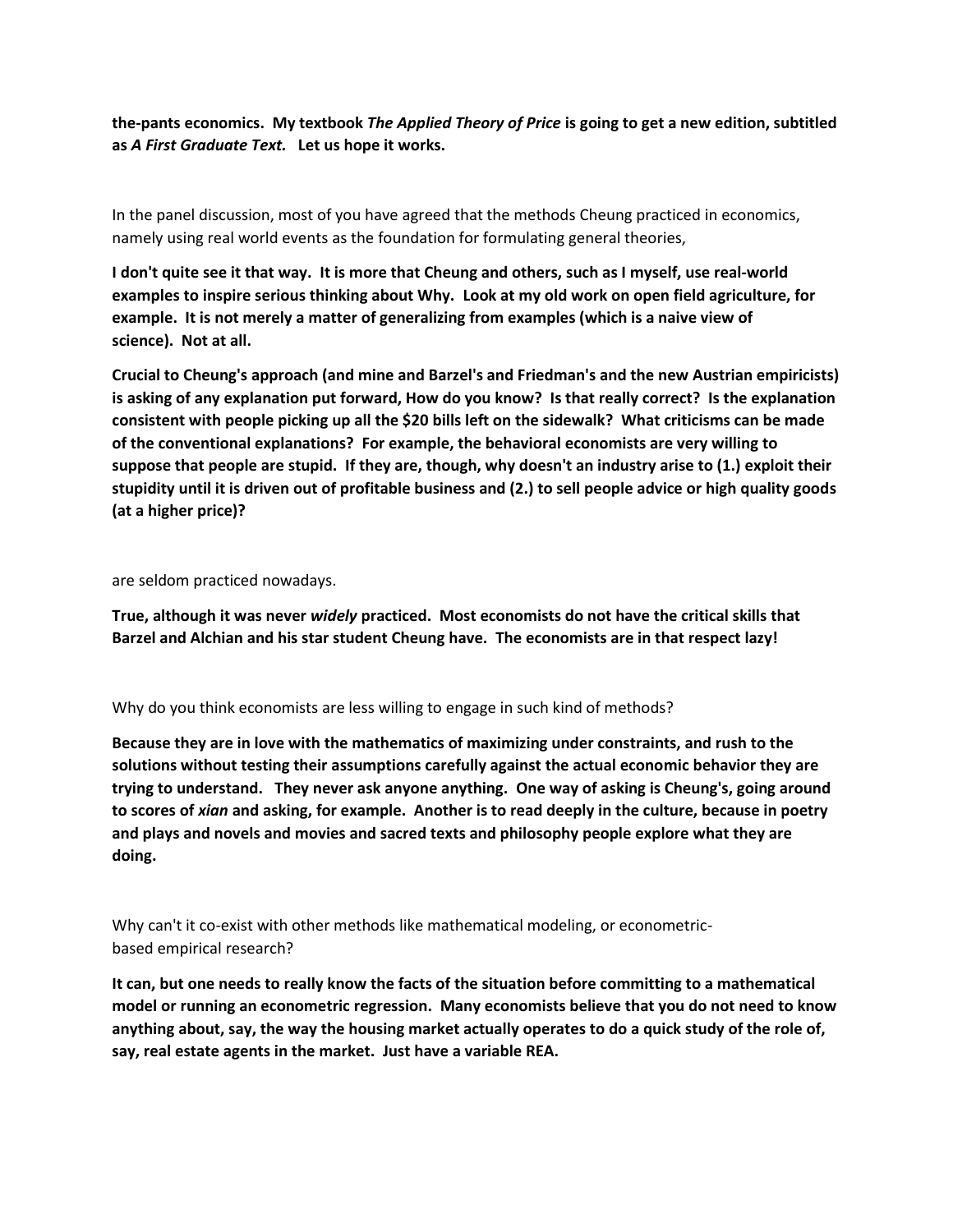**the-pants economics. My textbook** *The Applied Theory of Price* **is going to get a new edition, subtitled as** *A First Graduate Text.* **Let us hope it works.**

In the panel discussion, most of you have agreed that the methods Cheung practiced in economics, namely using real world events as the foundation for formulating general theories,

**I don't quite see it that way. It is more that Cheung and others, such as I myself, use real-world examples to inspire serious thinking about Why. Look at my old work on open field agriculture, for example. It is not merely a matter of generalizing from examples (which is a naive view of science). Not at all.**

**Crucial to Cheung's approach (and mine and Barzel's and Friedman's and the new Austrian empiricists) is asking of any explanation put forward, How do you know? Is that really correct? Is the explanation consistent with people picking up all the \$20 bills left on the sidewalk? What criticisms can be made of the conventional explanations? For example, the behavioral economists are very willing to suppose that people are stupid. If they are, though, why doesn't an industry arise to (1.) exploit their stupidity until it is driven out of profitable business and (2.) to sell people advice or high quality goods (at a higher price)?**

are seldom practiced nowadays.

**True, although it was never** *widely* **practiced. Most economists do not have the critical skills that Barzel and Alchian and his star student Cheung have. The economists are in that respect lazy!**

Why do you think economists are less willing to engage in such kind of methods?

**Because they are in love with the mathematics of maximizing under constraints, and rush to the solutions without testing their assumptions carefully against the actual economic behavior they are trying to understand. They never ask anyone anything. One way of asking is Cheung's, going around to scores of** *xian* **and asking, for example. Another is to read deeply in the culture, because in poetry and plays and novels and movies and sacred texts and philosophy people explore what they are doing.**

Why can't it co-exist with other methods like mathematical modeling, or econometricbased empirical research?

**It can, but one needs to really know the facts of the situation before committing to a mathematical model or running an econometric regression. Many economists believe that you do not need to know anything about, say, the way the housing market actually operates to do a quick study of the role of, say, real estate agents in the market. Just have a variable REA.**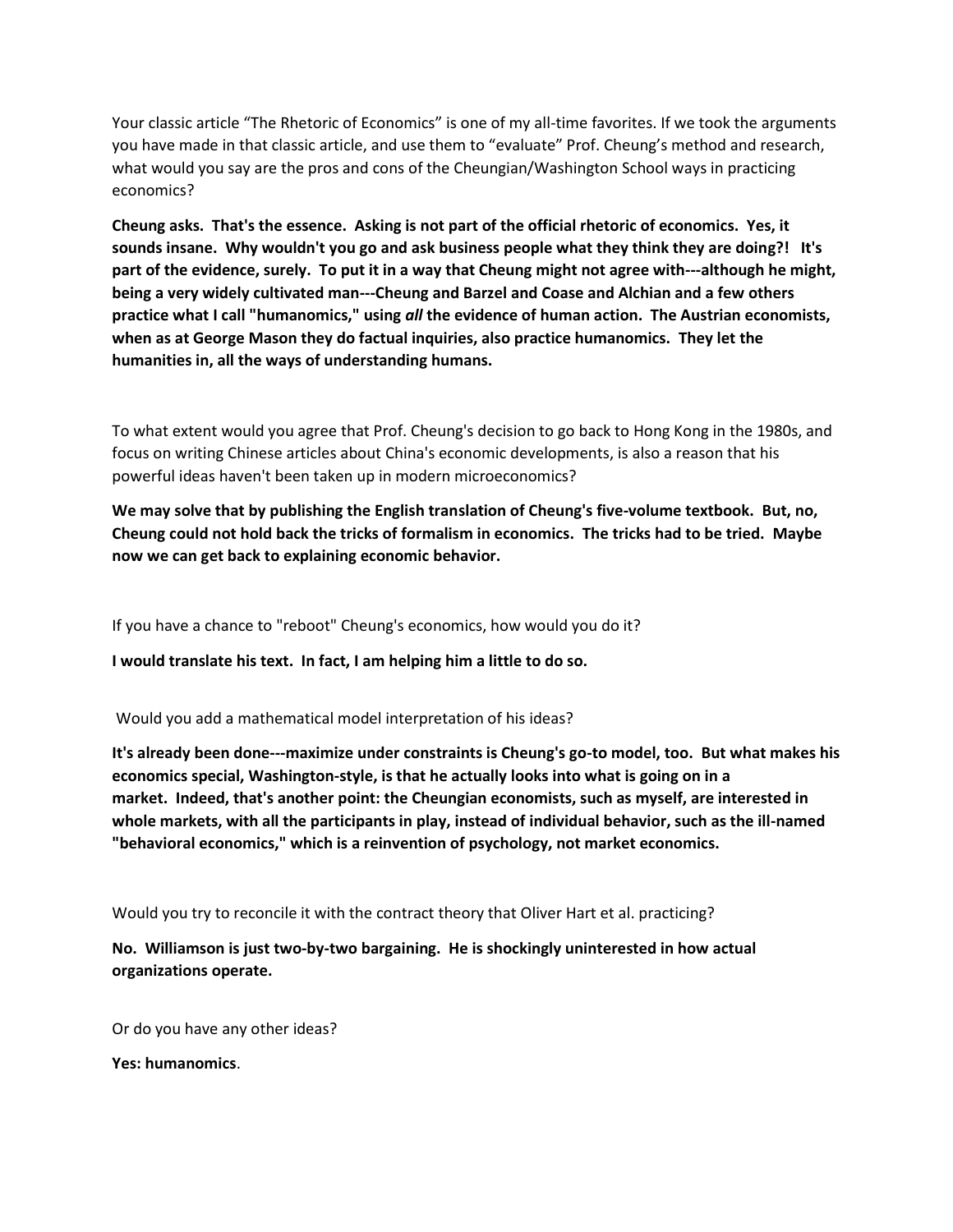Your classic article "The Rhetoric of Economics" is one of my all-time favorites. If we took the arguments you have made in that classic article, and use them to "evaluate" Prof. Cheung's method and research, what would you say are the pros and cons of the Cheungian/Washington School ways in practicing economics?

**Cheung asks. That's the essence. Asking is not part of the official rhetoric of economics. Yes, it sounds insane. Why wouldn't you go and ask business people what they think they are doing?! It's part of the evidence, surely. To put it in a way that Cheung might not agree with---although he might, being a very widely cultivated man---Cheung and Barzel and Coase and Alchian and a few others practice what I call "humanomics," using** *all* **the evidence of human action. The Austrian economists, when as at George Mason they do factual inquiries, also practice humanomics. They let the humanities in, all the ways of understanding humans.**

To what extent would you agree that Prof. Cheung's decision to go back to Hong Kong in the 1980s, and focus on writing Chinese articles about China's economic developments, is also a reason that his powerful ideas haven't been taken up in modern microeconomics?

**We may solve that by publishing the English translation of Cheung's five-volume textbook. But, no, Cheung could not hold back the tricks of formalism in economics. The tricks had to be tried. Maybe now we can get back to explaining economic behavior.**

If you have a chance to "reboot" Cheung's economics, how would you do it?

**I would translate his text. In fact, I am helping him a little to do so.**

Would you add a mathematical model interpretation of his ideas?

**It's already been done---maximize under constraints is Cheung's go-to model, too. But what makes his economics special, Washington-style, is that he actually looks into what is going on in a market. Indeed, that's another point: the Cheungian economists, such as myself, are interested in whole markets, with all the participants in play, instead of individual behavior, such as the ill-named "behavioral economics," which is a reinvention of psychology, not market economics.**

Would you try to reconcile it with the contract theory that Oliver Hart et al. practicing?

**No. Williamson is just two-by-two bargaining. He is shockingly uninterested in how actual organizations operate.**

Or do you have any other ideas?

**Yes: humanomics**.